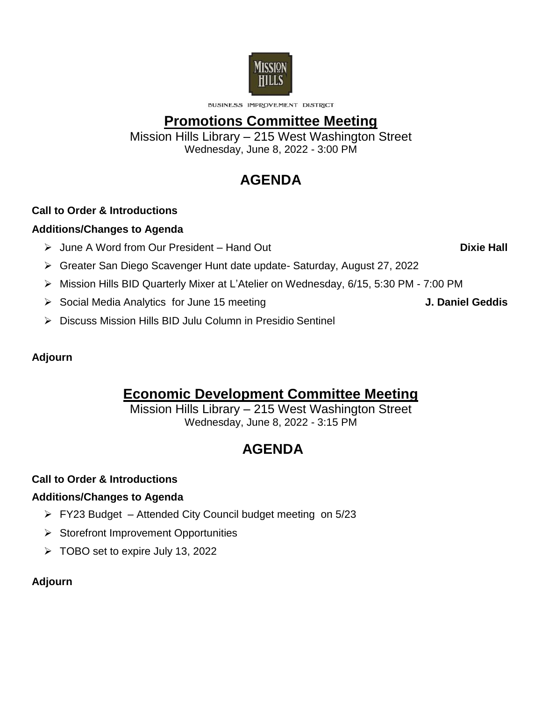

**BUSINESS IMPROVEMENT DISTRICT** 

## **Promotions Committee Meeting**

Mission Hills Library – 215 West Washington Street Wednesday, June 8, 2022 - 3:00 PM

# **AGENDA**

#### **Call to Order & Introductions**

#### **Additions/Changes to Agenda**

- June A Word from Our President Hand Out **Dixie Hall**
- Greater San Diego Scavenger Hunt date update- Saturday, August 27, 2022
- Mission Hills BID Quarterly Mixer at L'Atelier on Wednesday, 6/15, 5:30 PM 7:00 PM
- Social Media Analytics for June 15 meeting **J. Daniel Geddis**

▶ Discuss Mission Hills BID Julu Column in Presidio Sentinel

#### **Adjourn**

# **Economic Development Committee Meeting**

Mission Hills Library – 215 West Washington Street Wednesday, June 8, 2022 - 3:15 PM

# **AGENDA**

### **Call to Order & Introductions**

#### **Additions/Changes to Agenda**

- FY23 Budget Attended City Council budget meeting on 5/23
- $\triangleright$  Storefront Improvement Opportunities
- $\triangleright$  TOBO set to expire July 13, 2022

#### **Adjourn**